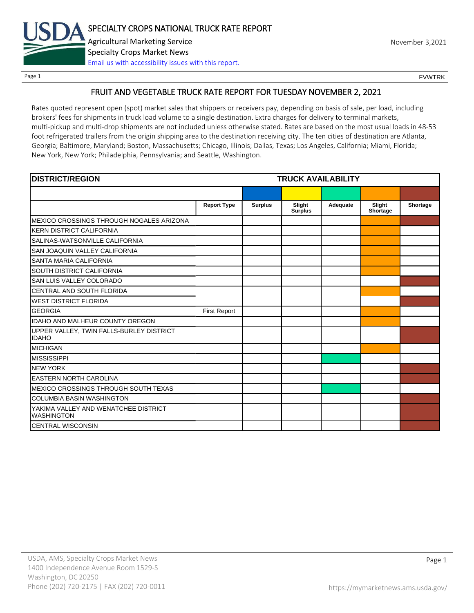

Page 1 FOUNTRK CONTROL CONTROL CONTROL CONTROL CONTROL CONTROL CONTROL CONTROL CONTROL CONTROL CONTROL CONTROL CONTROL CONTROL CONTROL CONTROL CONTROL CONTROL CONTROL CONTROL CONTROL CONTROL CONTROL CONTROL CONTROL CONTROL

# FRUIT AND VEGETABLE TRUCK RATE REPORT FOR TUESDAY NOVEMBER 2, 2021

Rates quoted represent open (spot) market sales that shippers or receivers pay, depending on basis of sale, per load, including brokers' fees for shipments in truck load volume to a single destination. Extra charges for delivery to terminal markets, multi-pickup and multi-drop shipments are not included unless otherwise stated. Rates are based on the most usual loads in 48-53 foot refrigerated trailers from the origin shipping area to the destination receiving city. The ten cities of destination are Atlanta, Georgia; Baltimore, Maryland; Boston, Massachusetts; Chicago, Illinois; Dallas, Texas; Los Angeles, California; Miami, Florida; New York, New York; Philadelphia, Pennsylvania; and Seattle, Washington.

| <b>DISTRICT/REGION</b>                                    |                     |                | <b>TRUCK AVAILABILITY</b> |          |                    |          |
|-----------------------------------------------------------|---------------------|----------------|---------------------------|----------|--------------------|----------|
|                                                           |                     |                |                           |          |                    |          |
|                                                           | <b>Report Type</b>  | <b>Surplus</b> | Slight<br><b>Surplus</b>  | Adequate | Slight<br>Shortage | Shortage |
| IMEXICO CROSSINGS THROUGH NOGALES ARIZONA                 |                     |                |                           |          |                    |          |
| IKERN DISTRICT CALIFORNIA                                 |                     |                |                           |          |                    |          |
| SALINAS-WATSONVILLE CALIFORNIA                            |                     |                |                           |          |                    |          |
| <b>SAN JOAQUIN VALLEY CALIFORNIA</b>                      |                     |                |                           |          |                    |          |
| <b>SANTA MARIA CALIFORNIA</b>                             |                     |                |                           |          |                    |          |
| <b>SOUTH DISTRICT CALIFORNIA</b>                          |                     |                |                           |          |                    |          |
| SAN LUIS VALLEY COLORADO                                  |                     |                |                           |          |                    |          |
| CENTRAL AND SOUTH FLORIDA                                 |                     |                |                           |          |                    |          |
| <b>WEST DISTRICT FLORIDA</b>                              |                     |                |                           |          |                    |          |
| <b>GEORGIA</b>                                            | <b>First Report</b> |                |                           |          |                    |          |
| <b>IDAHO AND MALHEUR COUNTY OREGON</b>                    |                     |                |                           |          |                    |          |
| UPPER VALLEY, TWIN FALLS-BURLEY DISTRICT<br><b>IDAHO</b>  |                     |                |                           |          |                    |          |
| <b>MICHIGAN</b>                                           |                     |                |                           |          |                    |          |
| <b>MISSISSIPPI</b>                                        |                     |                |                           |          |                    |          |
| <b>NEW YORK</b>                                           |                     |                |                           |          |                    |          |
| <b>EASTERN NORTH CAROLINA</b>                             |                     |                |                           |          |                    |          |
| <b>MEXICO CROSSINGS THROUGH SOUTH TEXAS</b>               |                     |                |                           |          |                    |          |
| <b>COLUMBIA BASIN WASHINGTON</b>                          |                     |                |                           |          |                    |          |
| YAKIMA VALLEY AND WENATCHEE DISTRICT<br><b>WASHINGTON</b> |                     |                |                           |          |                    |          |
| <b>CENTRAL WISCONSIN</b>                                  |                     |                |                           |          |                    |          |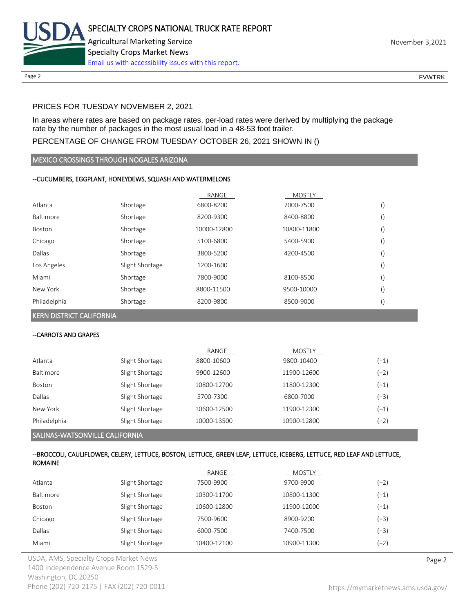

Page 2 FOUNTRK CONTROL CONTROL CONTROL CONTROL CONTROL CONTROL CONTROL CONTROL CONTROL CONTROL CONTROL CONTROL CONTROL CONTROL CONTROL CONTROL CONTROL CONTROL CONTROL CONTROL CONTROL CONTROL CONTROL CONTROL CONTROL CONTROL

### PRICES FOR TUESDAY NOVEMBER 2, 2021

In areas where rates are based on package rates, per-load rates were derived by multiplying the package rate by the number of packages in the most usual load in a 48-53 foot trailer.

#### PERCENTAGE OF CHANGE FROM TUESDAY OCTOBER 26, 2021 SHOWN IN ()

#### MEXICO CROSSINGS THROUGH NOGALES ARIZONA

#### --CUCUMBERS, EGGPLANT, HONEYDEWS, SQUASH AND WATERMELONS

|              |                 | RANGE       | <b>MOSTLY</b> |  |
|--------------|-----------------|-------------|---------------|--|
| Atlanta      | Shortage        | 6800-8200   | 7000-7500     |  |
| Baltimore    | Shortage        | 8200-9300   | 8400-8800     |  |
| Boston       | Shortage        | 10000-12800 | 10800-11800   |  |
| Chicago      | Shortage        | 5100-6800   | 5400-5900     |  |
| Dallas       | Shortage        | 3800-5200   | 4200-4500     |  |
| Los Angeles  | Slight Shortage | 1200-1600   |               |  |
| Miami        | Shortage        | 7800-9000   | 8100-8500     |  |
| New York     | Shortage        | 8800-11500  | 9500-10000    |  |
| Philadelphia | Shortage        | 8200-9800   | 8500-9000     |  |

#### KERN DISTRICT CALIFORNIA

#### --CARROTS AND GRAPES

|              | <b>SALINAS-WATSONVILLE CALIFORNIA</b> |             |               |        |  |
|--------------|---------------------------------------|-------------|---------------|--------|--|
| Philadelphia | Slight Shortage                       | 10000-13500 | 10900-12800   | (+2)   |  |
| New York     | Slight Shortage                       | 10600-12500 | 11900-12300   | $(+1)$ |  |
| Dallas       | Slight Shortage                       | 5700-7300   | 6800-7000     | $(+3)$ |  |
| Boston       | Slight Shortage                       | 10800-12700 | 11800-12300   | $(+1)$ |  |
| Baltimore    | Slight Shortage                       | 9900-12600  | 11900-12600   | $(+2)$ |  |
| Atlanta      | Slight Shortage                       | 8800-10600  | 9800-10400    | $(+1)$ |  |
|              |                                       | RANGE       | <b>MOSTLY</b> |        |  |

#### --BROCCOLI, CAULIFLOWER, CELERY, LETTUCE, BOSTON, LETTUCE, GREEN LEAF, LETTUCE, ICEBERG, LETTUCE, RED LEAF AND LETTUCE, ROMAINE RANGE MOSTLY

|               |                 | KANGE       | <b>IVIUSTLY</b> |        |
|---------------|-----------------|-------------|-----------------|--------|
| Atlanta       | Slight Shortage | 7500-9900   | 9700-9900       | (+2)   |
| Baltimore     | Slight Shortage | 10300-11700 | 10800-11300     | $(+1)$ |
| <b>Boston</b> | Slight Shortage | 10600-12800 | 11900-12000     | $(+1)$ |
| Chicago       | Slight Shortage | 7500-9600   | 8900-9200       | (+3)   |
| Dallas        | Slight Shortage | 6000-7500   | 7400-7500       | (+3)   |
| Miami         | Slight Shortage | 10400-12100 | 10900-11300     | (+2)   |
|               |                 |             |                 |        |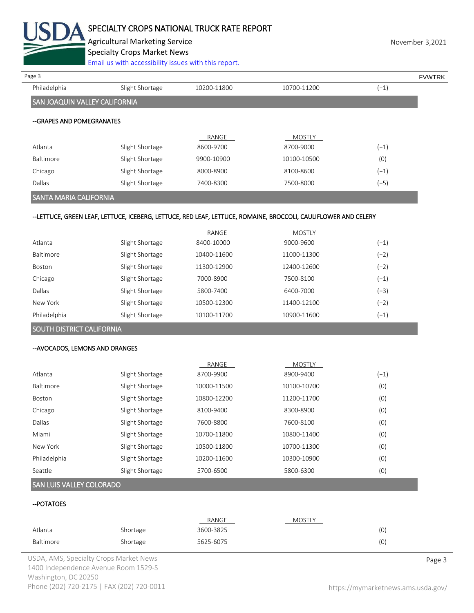

# SPECIALTY CROPS NATIONAL TRUCK RATE REPORT

Agricultural Marketing Service **November 3,2021** November 3,2021

Specialty Crops Market News

[Email us with accessibility issues with this report.](mailto:mars@ams.usda.gov?subject=508%20Inquiry/Report)

| Philadelphia<br>Slight Shortage<br>10700-11200<br>10200-11800<br>$(+1)$<br>SAN JOAQUIN VALLEY CALIFORNIA<br>--GRAPES AND POMEGRANATES<br>RANGE<br><b>MOSTLY</b><br>Atlanta<br>8700-9000<br>Slight Shortage<br>8600-9700<br>$(+1)$<br>(0)<br>Baltimore<br>10100-10500<br>Slight Shortage<br>9900-10900<br>Slight Shortage<br>8000-8900<br>8100-8600<br>$(+1)$<br>Chicago<br>$(+5)$<br>Dallas<br>Slight Shortage<br>7400-8300<br>7500-8000<br>SANTA MARIA CALIFORNIA<br>--LETTUCE, GREEN LEAF, LETTUCE, ICEBERG, LETTUCE, RED LEAF, LETTUCE, ROMAINE, BROCCOLI, CAULIFLOWER AND CELERY<br>RANGE<br><b>MOSTLY</b><br>Atlanta<br>$(+1)$<br>Slight Shortage<br>8400-10000<br>9000-9600<br>Baltimore<br>$(+2)$<br>Slight Shortage<br>10400-11600<br>11000-11300<br>Slight Shortage<br>11300-12900<br>$(+2)$<br>12400-12600<br>Boston<br>Slight Shortage<br>7000-8900<br>7500-8100<br>$(+1)$<br>Chicago<br>Dallas<br>6400-7000<br>$(+3)$<br>Slight Shortage<br>5800-7400<br>New York<br>Slight Shortage<br>10500-12300<br>11400-12100<br>$(+2)$<br>Philadelphia<br>$(+1)$<br>Slight Shortage<br>10100-11700<br>10900-11600 |        |  |  |
|---------------------------------------------------------------------------------------------------------------------------------------------------------------------------------------------------------------------------------------------------------------------------------------------------------------------------------------------------------------------------------------------------------------------------------------------------------------------------------------------------------------------------------------------------------------------------------------------------------------------------------------------------------------------------------------------------------------------------------------------------------------------------------------------------------------------------------------------------------------------------------------------------------------------------------------------------------------------------------------------------------------------------------------------------------------------------------------------------------------------|--------|--|--|
|                                                                                                                                                                                                                                                                                                                                                                                                                                                                                                                                                                                                                                                                                                                                                                                                                                                                                                                                                                                                                                                                                                                     | Page 3 |  |  |
|                                                                                                                                                                                                                                                                                                                                                                                                                                                                                                                                                                                                                                                                                                                                                                                                                                                                                                                                                                                                                                                                                                                     |        |  |  |
|                                                                                                                                                                                                                                                                                                                                                                                                                                                                                                                                                                                                                                                                                                                                                                                                                                                                                                                                                                                                                                                                                                                     |        |  |  |
|                                                                                                                                                                                                                                                                                                                                                                                                                                                                                                                                                                                                                                                                                                                                                                                                                                                                                                                                                                                                                                                                                                                     |        |  |  |
|                                                                                                                                                                                                                                                                                                                                                                                                                                                                                                                                                                                                                                                                                                                                                                                                                                                                                                                                                                                                                                                                                                                     |        |  |  |
|                                                                                                                                                                                                                                                                                                                                                                                                                                                                                                                                                                                                                                                                                                                                                                                                                                                                                                                                                                                                                                                                                                                     |        |  |  |
|                                                                                                                                                                                                                                                                                                                                                                                                                                                                                                                                                                                                                                                                                                                                                                                                                                                                                                                                                                                                                                                                                                                     |        |  |  |
|                                                                                                                                                                                                                                                                                                                                                                                                                                                                                                                                                                                                                                                                                                                                                                                                                                                                                                                                                                                                                                                                                                                     |        |  |  |
|                                                                                                                                                                                                                                                                                                                                                                                                                                                                                                                                                                                                                                                                                                                                                                                                                                                                                                                                                                                                                                                                                                                     |        |  |  |
|                                                                                                                                                                                                                                                                                                                                                                                                                                                                                                                                                                                                                                                                                                                                                                                                                                                                                                                                                                                                                                                                                                                     |        |  |  |
|                                                                                                                                                                                                                                                                                                                                                                                                                                                                                                                                                                                                                                                                                                                                                                                                                                                                                                                                                                                                                                                                                                                     |        |  |  |
|                                                                                                                                                                                                                                                                                                                                                                                                                                                                                                                                                                                                                                                                                                                                                                                                                                                                                                                                                                                                                                                                                                                     |        |  |  |
|                                                                                                                                                                                                                                                                                                                                                                                                                                                                                                                                                                                                                                                                                                                                                                                                                                                                                                                                                                                                                                                                                                                     |        |  |  |
|                                                                                                                                                                                                                                                                                                                                                                                                                                                                                                                                                                                                                                                                                                                                                                                                                                                                                                                                                                                                                                                                                                                     |        |  |  |
|                                                                                                                                                                                                                                                                                                                                                                                                                                                                                                                                                                                                                                                                                                                                                                                                                                                                                                                                                                                                                                                                                                                     |        |  |  |
|                                                                                                                                                                                                                                                                                                                                                                                                                                                                                                                                                                                                                                                                                                                                                                                                                                                                                                                                                                                                                                                                                                                     |        |  |  |
|                                                                                                                                                                                                                                                                                                                                                                                                                                                                                                                                                                                                                                                                                                                                                                                                                                                                                                                                                                                                                                                                                                                     |        |  |  |
|                                                                                                                                                                                                                                                                                                                                                                                                                                                                                                                                                                                                                                                                                                                                                                                                                                                                                                                                                                                                                                                                                                                     |        |  |  |
|                                                                                                                                                                                                                                                                                                                                                                                                                                                                                                                                                                                                                                                                                                                                                                                                                                                                                                                                                                                                                                                                                                                     |        |  |  |
|                                                                                                                                                                                                                                                                                                                                                                                                                                                                                                                                                                                                                                                                                                                                                                                                                                                                                                                                                                                                                                                                                                                     |        |  |  |
|                                                                                                                                                                                                                                                                                                                                                                                                                                                                                                                                                                                                                                                                                                                                                                                                                                                                                                                                                                                                                                                                                                                     |        |  |  |

# SOUTH DISTRICT CALIFORNIA

#### --AVOCADOS, LEMONS AND ORANGES

|               |                 | RANGE       | <b>MOSTLY</b> |        |
|---------------|-----------------|-------------|---------------|--------|
| Atlanta       | Slight Shortage | 8700-9900   | 8900-9400     | $(+1)$ |
| Baltimore     | Slight Shortage | 10000-11500 | 10100-10700   | (0)    |
| <b>Boston</b> | Slight Shortage | 10800-12200 | 11200-11700   | (0)    |
| Chicago       | Slight Shortage | 8100-9400   | 8300-8900     | (0)    |
| Dallas        | Slight Shortage | 7600-8800   | 7600-8100     | (0)    |
| Miami         | Slight Shortage | 10700-11800 | 10800-11400   | (0)    |
| New York      | Slight Shortage | 10500-11800 | 10700-11300   | (0)    |
| Philadelphia  | Slight Shortage | 10200-11600 | 10300-10900   | (0)    |
| Seattle       | Slight Shortage | 5700-6500   | 5800-6300     | (0)    |

# SAN LUIS VALLEY COLORADO

# --POTATOES

|           |          | RANGE     | MOSTLY |     |
|-----------|----------|-----------|--------|-----|
| Atlanta   | Shortage | 3600-3825 |        | (0) |
| Baltimore | Shortage | 5625-6075 |        | (0) |

USDA, AMS, Specialty Crops Market News **Page 3** 1400 Independence Avenue Room 1529-S Washington, DC 20250 Phone (202) 720-2175 | FAX (202) 720-0011 <https://mymarketnews.ams.usda.gov/>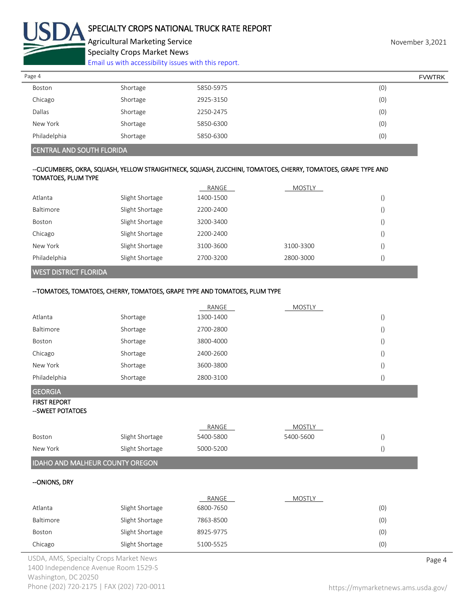

[Email us with accessibility issues with this report.](mailto:mars@ams.usda.gov?subject=508%20Inquiry/Report)

| 5850-5975                                    |  |
|----------------------------------------------|--|
| (0)<br>Shortage<br>Boston                    |  |
| (0)<br>Chicago<br>2925-3150<br>Shortage      |  |
| Dallas<br>(0)<br>Shortage<br>2250-2475       |  |
| (0)<br>New York<br>Shortage<br>5850-6300     |  |
| Philadelphia<br>(0)<br>Shortage<br>5850-6300 |  |

#### CENTRAL AND SOUTH FLORIDA

#### --CUCUMBERS, OKRA, SQUASH, YELLOW STRAIGHTNECK, SQUASH, ZUCCHINI, TOMATOES, CHERRY, TOMATOES, GRAPE TYPE AND TOMATOES, PLUM TYPE

| <b>WEST DISTRICT FLORIDA</b> |                 |           |               |  |
|------------------------------|-----------------|-----------|---------------|--|
| Philadelphia                 | Slight Shortage | 2700-3200 | 2800-3000     |  |
| New York                     | Slight Shortage | 3100-3600 | 3100-3300     |  |
| Chicago                      | Slight Shortage | 2200-2400 |               |  |
| Boston                       | Slight Shortage | 3200-3400 |               |  |
| Baltimore                    | Slight Shortage | 2200-2400 |               |  |
| Atlanta                      | Slight Shortage | 1400-1500 |               |  |
|                              |                 | RANGE     | <b>MOSTLY</b> |  |

# --TOMATOES, TOMATOES, CHERRY, TOMATOES, GRAPE TYPE AND TOMATOES, PLUM TYPE

|                                         |                 | RANGE     | <b>MOSTLY</b> |                  |        |
|-----------------------------------------|-----------------|-----------|---------------|------------------|--------|
| Atlanta                                 | Shortage        | 1300-1400 |               | $\left(\right)$  |        |
| Baltimore                               | Shortage        | 2700-2800 |               | $\left(\right)$  |        |
| Boston                                  | Shortage        | 3800-4000 |               | $\left( \right)$ |        |
| Chicago                                 | Shortage        | 2400-2600 |               | $\left(\right)$  |        |
| New York                                | Shortage        | 3600-3800 |               | $\left( \right)$ |        |
| Philadelphia                            | Shortage        | 2800-3100 |               | $\left(\right)$  |        |
| <b>GEORGIA</b>                          |                 |           |               |                  |        |
| <b>FIRST REPORT</b><br>--SWEET POTATOES |                 |           |               |                  |        |
|                                         |                 | RANGE     | <b>MOSTLY</b> |                  |        |
| Boston                                  | Slight Shortage | 5400-5800 | 5400-5600     | $\left( \right)$ |        |
| New York                                | Slight Shortage | 5000-5200 |               | $\left( \right)$ |        |
| IDAHO AND MALHEUR COUNTY OREGON         |                 |           |               |                  |        |
| --ONIONS, DRY                           |                 |           |               |                  |        |
|                                         |                 | RANGE     | <b>MOSTLY</b> |                  |        |
| Atlanta                                 | Slight Shortage | 6800-7650 |               | (0)              |        |
| Baltimore                               | Slight Shortage | 7863-8500 |               | (0)              |        |
| Boston                                  | Slight Shortage | 8925-9775 |               | (0)              |        |
| Chicago                                 | Slight Shortage | 5100-5525 |               | (0)              |        |
| JSDA, AMS, Specialty Crops Market News  |                 |           |               |                  | Page 4 |

1400 Independence Avenue Room 1529-S Washington, DC 20250 Phone (202) 720-2175 | FAX (202) 720-0011 <https://mymarketnews.ams.usda.gov/>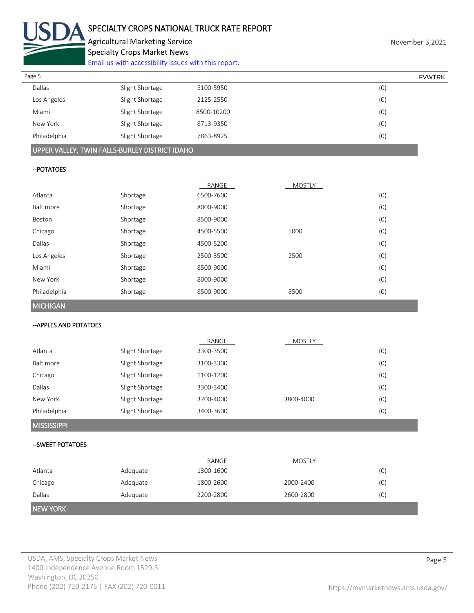

[Email us with accessibility issues with this report.](mailto:mars@ams.usda.gov?subject=508%20Inquiry/Report)

| Page 5       |                 |            | <b>FVWTRK</b> |
|--------------|-----------------|------------|---------------|
| Dallas       | Slight Shortage | 5100-5950  | (0)           |
| Los Angeles  | Slight Shortage | 2125-2550  | (0)           |
| Miami        | Slight Shortage | 8500-10200 | (0)           |
| New York     | Slight Shortage | 8713-9350  | (0)           |
| Philadelphia | Slight Shortage | 7863-8925  | (0)           |
|              |                 |            |               |

# UPPER VALLEY, TWIN FALLS-BURLEY DISTRICT IDAHO

#### --POTATOES

|                 |          | RANGE     | <b>MOSTLY</b> |     |
|-----------------|----------|-----------|---------------|-----|
| Atlanta         | Shortage | 6500-7600 |               | (0) |
| Baltimore       | Shortage | 8000-9000 |               | (0) |
| Boston          | Shortage | 8500-9000 |               | (0) |
| Chicago         | Shortage | 4500-5500 | 5000          | (0) |
| Dallas          | Shortage | 4500-5200 |               | (0) |
| Los Angeles     | Shortage | 2500-3500 | 2500          | (0) |
| Miami           | Shortage | 8500-9000 |               | (0) |
| New York        | Shortage | 8000-9000 |               | (0) |
| Philadelphia    | Shortage | 8500-9000 | 8500          | (0) |
| <b>MICHIGAN</b> |          |           |               |     |

#### --APPLES AND POTATOES

|                    |                 | RANGE     | <b>MOSTLY</b> |     |
|--------------------|-----------------|-----------|---------------|-----|
| Atlanta            | Slight Shortage | 3300-3500 |               | (0) |
| <b>Baltimore</b>   | Slight Shortage | 3100-3300 |               | (0) |
| Chicago            | Slight Shortage | 1100-1200 |               | (0) |
| Dallas             | Slight Shortage | 3300-3400 |               | (0) |
| New York           | Slight Shortage | 3700-4000 | 3800-4000     | (0) |
| Philadelphia       | Slight Shortage | 3400-3600 |               | (0) |
| <b>MISSISSIPPI</b> |                 |           |               |     |
| --SWEET POTATOES   |                 |           |               |     |
|                    |                 |           |               |     |
|                    |                 | RANGE     | <b>MOSTLY</b> |     |
| Atlanta            | Adequate        | 1300-1600 |               | (0) |
| Chicago            | Adequate        | 1800-2600 | 2000-2400     | (0) |
| Dallas             | Adequate        | 2200-2800 | 2600-2800     | (0) |

# NEW YORK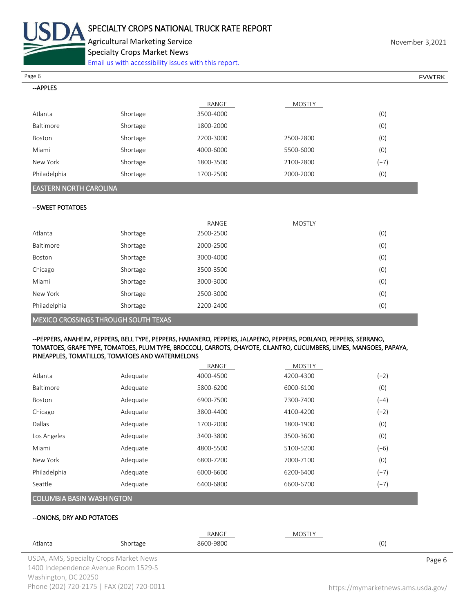

[Email us with accessibility issues with this report.](mailto:mars@ams.usda.gov?subject=508%20Inquiry/Report)

 $\overline{\phantom{a}}$ Page 6 FVWTRK

| --APPLES     |          |           |               |        |
|--------------|----------|-----------|---------------|--------|
|              |          | RANGE     | <b>MOSTLY</b> |        |
| Atlanta      | Shortage | 3500-4000 |               | (0)    |
| Baltimore    | Shortage | 1800-2000 |               | (0)    |
| Boston       | Shortage | 2200-3000 | 2500-2800     | (0)    |
| Miami        | Shortage | 4000-6000 | 5500-6000     | (0)    |
| New York     | Shortage | 1800-3500 | 2100-2800     | $(+7)$ |
| Philadelphia | Shortage | 1700-2500 | 2000-2000     | (0)    |

# EASTERN NORTH CAROLINA

#### --SWEET POTATOES

|                                             |          | RANGE     | <b>MOSTLY</b> |     |
|---------------------------------------------|----------|-----------|---------------|-----|
| Atlanta                                     | Shortage | 2500-2500 |               | (0) |
| Baltimore                                   | Shortage | 2000-2500 |               | (0) |
| Boston                                      | Shortage | 3000-4000 |               | (0) |
| Chicago                                     | Shortage | 3500-3500 |               | (0) |
| Miami                                       | Shortage | 3000-3000 |               | (0) |
| New York                                    | Shortage | 2500-3000 |               | (0) |
| Philadelphia                                | Shortage | 2200-2400 |               | (0) |
| <b>MEXICO CROSSINGS THROUGH SOUTH TEXAS</b> |          |           |               |     |

#### --PEPPERS, ANAHEIM, PEPPERS, BELL TYPE, PEPPERS, HABANERO, PEPPERS, JALAPENO, PEPPERS, POBLANO, PEPPERS, SERRANO, TOMATOES, GRAPE TYPE, TOMATOES, PLUM TYPE, BROCCOLI, CARROTS, CHAYOTE, CILANTRO, CUCUMBERS, LIMES, MANGOES, PAPAYA, PINEAPPLES, TOMATILLOS, TOMATOES AND WATERMELONS

|              |          | RANGE     | <b>MOSTLY</b> |        |
|--------------|----------|-----------|---------------|--------|
| Atlanta      | Adequate | 4000-4500 | 4200-4300     | (+2)   |
| Baltimore    | Adequate | 5800-6200 | 6000-6100     | (0)    |
| Boston       | Adequate | 6900-7500 | 7300-7400     | (+4)   |
| Chicago      | Adequate | 3800-4400 | 4100-4200     | $(+2)$ |
| Dallas       | Adequate | 1700-2000 | 1800-1900     | (0)    |
| Los Angeles  | Adequate | 3400-3800 | 3500-3600     | (0)    |
| Miami        | Adequate | 4800-5500 | 5100-5200     | $(+6)$ |
| New York     | Adequate | 6800-7200 | 7000-7100     | (0)    |
| Philadelphia | Adequate | 6000-6600 | 6200-6400     | (+7)   |
| Seattle      | Adequate | 6400-6800 | 6600-6700     | (+7)   |
|              |          |           |               |        |

# COLUMBIA BASIN WASHINGTON

#### --ONIONS, DRY AND POTATOES

|                      |                                           | RANGE     | MOSTLY |                                    |  |
|----------------------|-------------------------------------------|-----------|--------|------------------------------------|--|
| Atlanta              | Shortage                                  | 8600-9800 |        | (0)                                |  |
|                      | USDA, AMS, Specialty Crops Market News    |           |        | Page 6                             |  |
|                      | 1400 Independence Avenue Room 1529-S      |           |        |                                    |  |
| Washington, DC 20250 |                                           |           |        |                                    |  |
|                      | Phone (202) 720-2175   FAX (202) 720-0011 |           |        | https://mymarketnews.ams.usda.gov/ |  |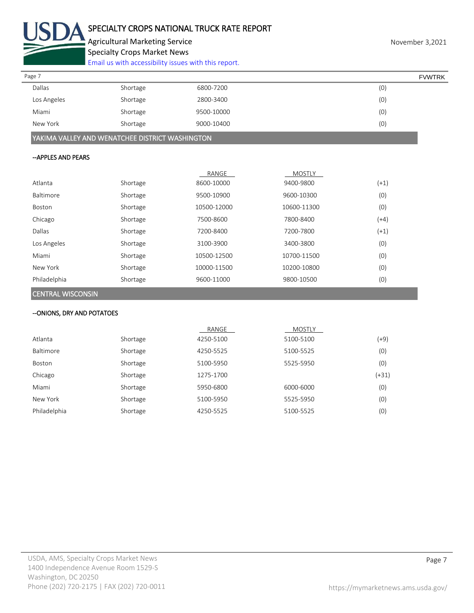

[Email us with accessibility issues with this report.](mailto:mars@ams.usda.gov?subject=508%20Inquiry/Report)

| Page 7        |          |            | <b>FVWTRK</b> |
|---------------|----------|------------|---------------|
| <b>Dallas</b> | Shortage | 6800-7200  | (0)           |
| Los Angeles   | Shortage | 2800-3400  | (0)           |
| Miami         | Shortage | 9500-10000 | (0)           |
| New York      | Shortage | 9000-10400 | (0)           |

YAKIMA VALLEY AND WENATCHEE DISTRICT WASHINGTON

#### --APPLES AND PEARS

|              |          | RANGE       | <b>MOSTLY</b> |        |
|--------------|----------|-------------|---------------|--------|
| Atlanta      | Shortage | 8600-10000  | 9400-9800     | $(+1)$ |
| Baltimore    | Shortage | 9500-10900  | 9600-10300    | (0)    |
| Boston       | Shortage | 10500-12000 | 10600-11300   | (0)    |
| Chicago      | Shortage | 7500-8600   | 7800-8400     | $(+4)$ |
| Dallas       | Shortage | 7200-8400   | 7200-7800     | $(+1)$ |
| Los Angeles  | Shortage | 3100-3900   | 3400-3800     | (0)    |
| Miami        | Shortage | 10500-12500 | 10700-11500   | (0)    |
| New York     | Shortage | 10000-11500 | 10200-10800   | (0)    |
| Philadelphia | Shortage | 9600-11000  | 9800-10500    | (0)    |

# CENTRAL WISCONSIN

# --ONIONS, DRY AND POTATOES

|              |          | RANGE     | <b>MOSTLY</b> |         |
|--------------|----------|-----------|---------------|---------|
| Atlanta      | Shortage | 4250-5100 | 5100-5100     | (+9)    |
| Baltimore    | Shortage | 4250-5525 | 5100-5525     | (0)     |
| Boston       | Shortage | 5100-5950 | 5525-5950     | (0)     |
| Chicago      | Shortage | 1275-1700 |               | $(+31)$ |
| Miami        | Shortage | 5950-6800 | 6000-6000     | (0)     |
| New York     | Shortage | 5100-5950 | 5525-5950     | (0)     |
| Philadelphia | Shortage | 4250-5525 | 5100-5525     | (0)     |
|              |          |           |               |         |